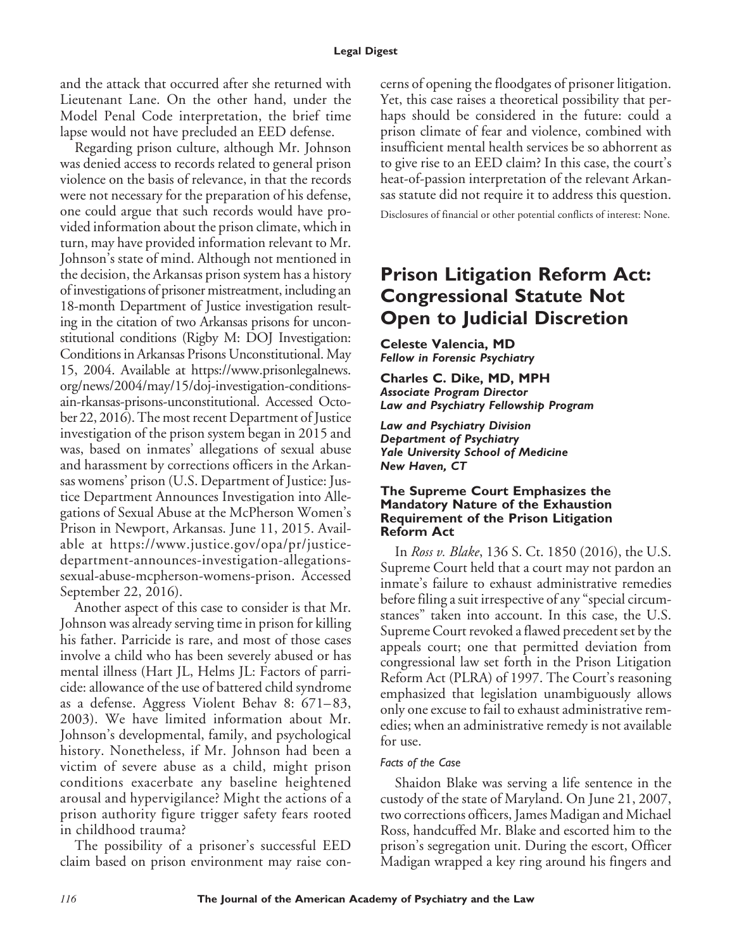and the attack that occurred after she returned with Lieutenant Lane. On the other hand, under the Model Penal Code interpretation, the brief time lapse would not have precluded an EED defense.

Regarding prison culture, although Mr. Johnson was denied access to records related to general prison violence on the basis of relevance, in that the records were not necessary for the preparation of his defense, one could argue that such records would have provided information about the prison climate, which in turn, may have provided information relevant to Mr. Johnson's state of mind. Although not mentioned in the decision, the Arkansas prison system has a history of investigations of prisoner mistreatment, including an 18-month Department of Justice investigation resulting in the citation of two Arkansas prisons for unconstitutional conditions (Rigby M: DOJ Investigation: Conditions in Arkansas Prisons Unconstitutional. May 15, 2004. Available at [https://www.prisonlegalnews.](https://www.prisonlegalnews.org/news/2004/may/15/doj-investigation-conditions-in-arkansas-prisons-unconstitutional) [org/news/2004/may/15/doj-investigation-conditions](https://www.prisonlegalnews.org/news/2004/may/15/doj-investigation-conditions-in-arkansas-prisons-unconstitutional)[ain-rkansas-prisons-unconstitutional.](https://www.prisonlegalnews.org/news/2004/may/15/doj-investigation-conditions-in-arkansas-prisons-unconstitutional) Accessed October 22, 2016). The most recent Department of Justice investigation of the prison system began in 2015 and was, based on inmates' allegations of sexual abuse and harassment by corrections officers in the Arkansas womens' prison (U.S. Department of Justice: Justice Department Announces Investigation into Allegations of Sexual Abuse at the McPherson Women's Prison in Newport, Arkansas. June 11, 2015. Available at [https://www.justice.gov/opa/pr/justice](https://www.justice.gov/opa/pr/justice-department-announces-investigation-allegations-sexual-abuse-mcpherson-womens-prison)[department-announces-investigation-allegations](https://www.justice.gov/opa/pr/justice-department-announces-investigation-allegations-sexual-abuse-mcpherson-womens-prison)[sexual-abuse-mcpherson-womens-prison.](https://www.justice.gov/opa/pr/justice-department-announces-investigation-allegations-sexual-abuse-mcpherson-womens-prison) Accessed September 22, 2016).

Another aspect of this case to consider is that Mr. Johnson was already serving time in prison for killing his father. Parricide is rare, and most of those cases involve a child who has been severely abused or has mental illness (Hart JL, Helms JL: Factors of parricide: allowance of the use of battered child syndrome as a defense. Aggress Violent Behav 8: 671– 83, 2003). We have limited information about Mr. Johnson's developmental, family, and psychological history. Nonetheless, if Mr. Johnson had been a victim of severe abuse as a child, might prison conditions exacerbate any baseline heightened arousal and hypervigilance? Might the actions of a prison authority figure trigger safety fears rooted in childhood trauma?

The possibility of a prisoner's successful EED claim based on prison environment may raise concerns of opening the floodgates of prisoner litigation. Yet, this case raises a theoretical possibility that perhaps should be considered in the future: could a prison climate of fear and violence, combined with insufficient mental health services be so abhorrent as to give rise to an EED claim? In this case, the court's heat-of-passion interpretation of the relevant Arkansas statute did not require it to address this question.

Disclosures of financial or other potential conflicts of interest: None.

# **Prison Litigation Reform Act: Congressional Statute Not Open to Judicial Discretion**

**Celeste Valencia, MD** *Fellow in Forensic Psychiatry*

### **Charles C. Dike, MD, MPH** *Associate Program Director Law and Psychiatry Fellowship Program*

*Law and Psychiatry Division Department of Psychiatry Yale University School of Medicine New Haven, CT*

# **The Supreme Court Emphasizes the Mandatory Nature of the Exhaustion Requirement of the Prison Litigation Reform Act**

In *Ross v. Blake*, 136 S. Ct. 1850 (2016), the U.S. Supreme Court held that a court may not pardon an inmate's failure to exhaust administrative remedies before filing a suit irrespective of any "special circumstances" taken into account. In this case, the U.S. Supreme Court revoked a flawed precedent set by the appeals court; one that permitted deviation from congressional law set forth in the Prison Litigation Reform Act (PLRA) of 1997. The Court's reasoning emphasized that legislation unambiguously allows only one excuse to fail to exhaust administrative remedies; when an administrative remedy is not available for use.

# *Facts of the Case*

Shaidon Blake was serving a life sentence in the custody of the state of Maryland. On June 21, 2007, two corrections officers, James Madigan and Michael Ross, handcuffed Mr. Blake and escorted him to the prison's segregation unit. During the escort, Officer Madigan wrapped a key ring around his fingers and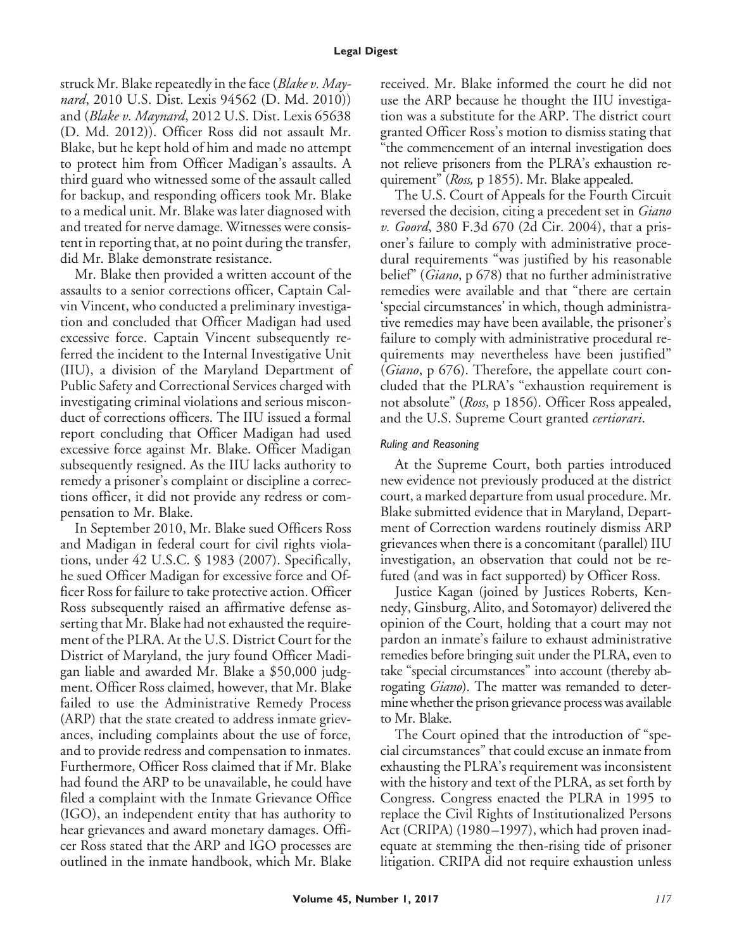#### **Legal Digest**

struck Mr. Blake repeatedly in the face (*Blake v. Maynard*, 2010 U.S. Dist. Lexis 94562 (D. Md. 2010)) and (*Blake v. Maynard*, 2012 U.S. Dist. Lexis 65638 (D. Md. 2012)). Officer Ross did not assault Mr. Blake, but he kept hold of him and made no attempt to protect him from Officer Madigan's assaults. A third guard who witnessed some of the assault called for backup, and responding officers took Mr. Blake to a medical unit. Mr. Blake was later diagnosed with and treated for nerve damage. Witnesses were consistent in reporting that, at no point during the transfer, did Mr. Blake demonstrate resistance.

Mr. Blake then provided a written account of the assaults to a senior corrections officer, Captain Calvin Vincent, who conducted a preliminary investigation and concluded that Officer Madigan had used excessive force. Captain Vincent subsequently referred the incident to the Internal Investigative Unit (IIU), a division of the Maryland Department of Public Safety and Correctional Services charged with investigating criminal violations and serious misconduct of corrections officers. The IIU issued a formal report concluding that Officer Madigan had used excessive force against Mr. Blake. Officer Madigan subsequently resigned. As the IIU lacks authority to remedy a prisoner's complaint or discipline a corrections officer, it did not provide any redress or compensation to Mr. Blake.

In September 2010, Mr. Blake sued Officers Ross and Madigan in federal court for civil rights violations, under 42 U.S.C. § 1983 (2007). Specifically, he sued Officer Madigan for excessive force and Officer Ross for failure to take protective action. Officer Ross subsequently raised an affirmative defense asserting that Mr. Blake had not exhausted the requirement of the PLRA. At the U.S. District Court for the District of Maryland, the jury found Officer Madigan liable and awarded Mr. Blake a \$50,000 judgment. Officer Ross claimed, however, that Mr. Blake failed to use the Administrative Remedy Process (ARP) that the state created to address inmate grievances, including complaints about the use of force, and to provide redress and compensation to inmates. Furthermore, Officer Ross claimed that if Mr. Blake had found the ARP to be unavailable, he could have filed a complaint with the Inmate Grievance Office (IGO), an independent entity that has authority to hear grievances and award monetary damages. Officer Ross stated that the ARP and IGO processes are outlined in the inmate handbook, which Mr. Blake received. Mr. Blake informed the court he did not use the ARP because he thought the IIU investigation was a substitute for the ARP. The district court granted Officer Ross's motion to dismiss stating that "the commencement of an internal investigation does not relieve prisoners from the PLRA's exhaustion requirement" (*Ross,* p 1855). Mr. Blake appealed.

The U.S. Court of Appeals for the Fourth Circuit reversed the decision, citing a precedent set in *Giano v. Goord*, 380 F.3d 670 (2d Cir. 2004), that a prisoner's failure to comply with administrative procedural requirements "was justified by his reasonable belief" (*Giano*, p 678) that no further administrative remedies were available and that "there are certain 'special circumstances' in which, though administrative remedies may have been available, the prisoner's failure to comply with administrative procedural requirements may nevertheless have been justified" (*Giano*, p 676). Therefore, the appellate court concluded that the PLRA's "exhaustion requirement is not absolute" (*Ross*, p 1856). Officer Ross appealed, and the U.S. Supreme Court granted *certiorari*.

# *Ruling and Reasoning*

At the Supreme Court, both parties introduced new evidence not previously produced at the district court, a marked departure from usual procedure. Mr. Blake submitted evidence that in Maryland, Department of Correction wardens routinely dismiss ARP grievances when there is a concomitant (parallel) IIU investigation, an observation that could not be refuted (and was in fact supported) by Officer Ross.

Justice Kagan (joined by Justices Roberts, Kennedy, Ginsburg, Alito, and Sotomayor) delivered the opinion of the Court, holding that a court may not pardon an inmate's failure to exhaust administrative remedies before bringing suit under the PLRA, even to take "special circumstances" into account (thereby abrogating *Giano*). The matter was remanded to determine whether the prison grievance process was available to Mr. Blake.

The Court opined that the introduction of "special circumstances" that could excuse an inmate from exhausting the PLRA's requirement was inconsistent with the history and text of the PLRA, as set forth by Congress. Congress enacted the PLRA in 1995 to replace the Civil Rights of Institutionalized Persons Act (CRIPA) (1980-1997), which had proven inadequate at stemming the then-rising tide of prisoner litigation. CRIPA did not require exhaustion unless